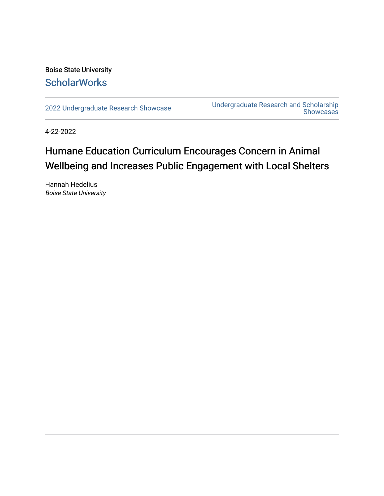### Boise State University **ScholarWorks**

[2022 Undergraduate Research Showcase](https://scholarworks.boisestate.edu/under_showcase_2022) Undergraduate Research and Scholarship Showcases

4-22-2022

### Humane Education Curriculum Encourages Concern in Animal Wellbeing and Increases Public Engagement with Local Shelters

Hannah Hedelius Boise State University